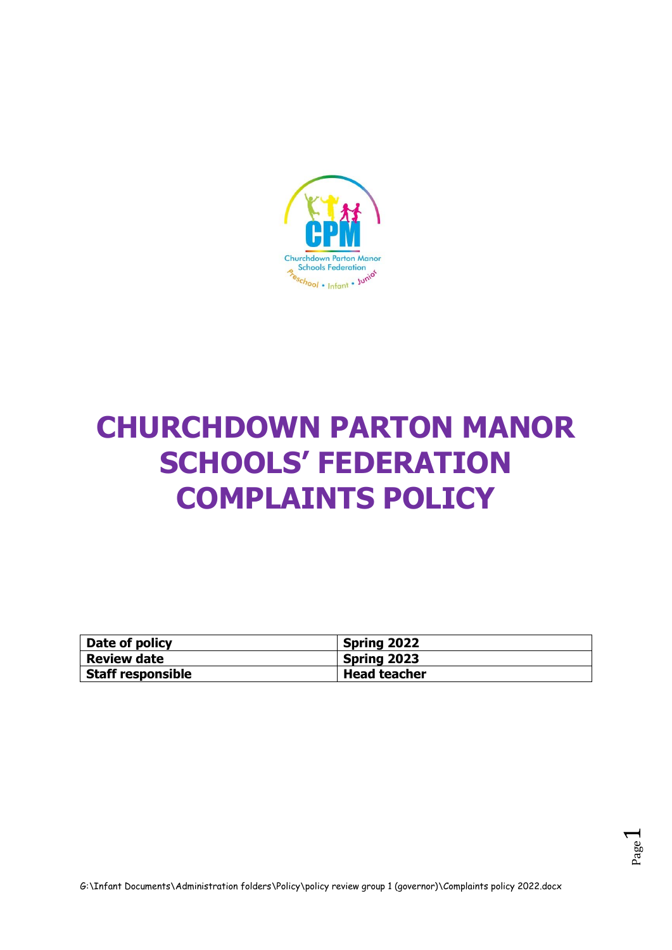

# **CHURCHDOWN PARTON MANOR SCHOOLS' FEDERATION COMPLAINTS POLICY**

| Date of policy           | <b>Spring 2022</b>  |
|--------------------------|---------------------|
| <b>Review date</b>       | Spring 2023         |
| <b>Staff responsible</b> | <b>Head teacher</b> |

Page  $\overline{\phantom{0}}$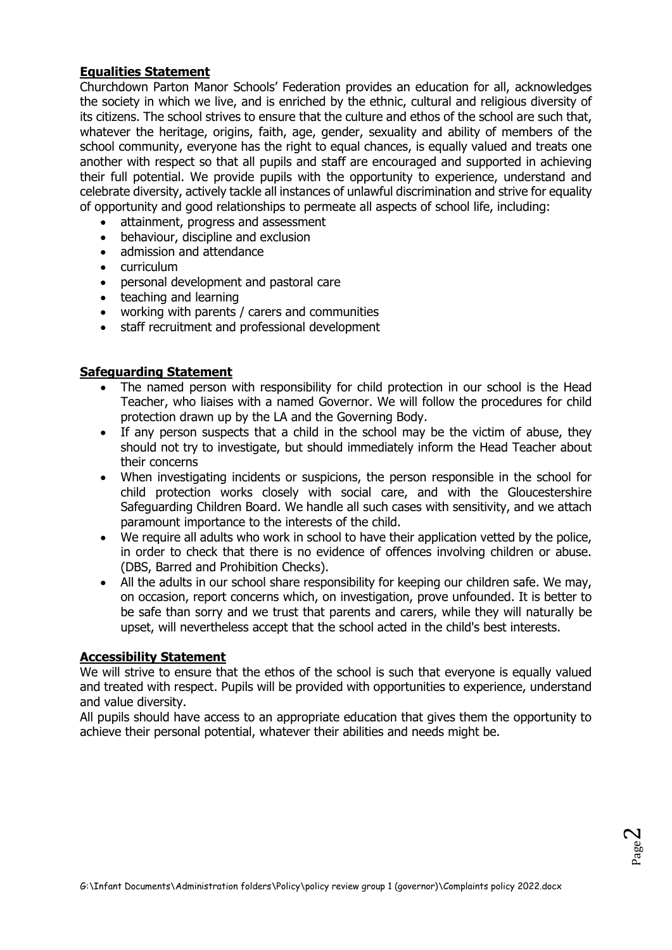#### **Equalities Statement**

Churchdown Parton Manor Schools' Federation provides an education for all, acknowledges the society in which we live, and is enriched by the ethnic, cultural and religious diversity of its citizens. The school strives to ensure that the culture and ethos of the school are such that, whatever the heritage, origins, faith, age, gender, sexuality and ability of members of the school community, everyone has the right to equal chances, is equally valued and treats one another with respect so that all pupils and staff are encouraged and supported in achieving their full potential. We provide pupils with the opportunity to experience, understand and celebrate diversity, actively tackle all instances of unlawful discrimination and strive for equality of opportunity and good relationships to permeate all aspects of school life, including:

- attainment, progress and assessment
- behaviour, discipline and exclusion
- admission and attendance
- curriculum
- personal development and pastoral care
- teaching and learning
- working with parents / carers and communities
- staff recruitment and professional development

#### **Safeguarding Statement**

- The named person with responsibility for child protection in our school is the Head Teacher, who liaises with a named Governor. We will follow the procedures for child protection drawn up by the LA and the Governing Body.
- If any person suspects that a child in the school may be the victim of abuse, they should not try to investigate, but should immediately inform the Head Teacher about their concerns
- When investigating incidents or suspicions, the person responsible in the school for child protection works closely with social care, and with the Gloucestershire Safeguarding Children Board. We handle all such cases with sensitivity, and we attach paramount importance to the interests of the child.
- We require all adults who work in school to have their application vetted by the police, in order to check that there is no evidence of offences involving children or abuse. (DBS, Barred and Prohibition Checks).
- All the adults in our school share responsibility for keeping our children safe. We may, on occasion, report concerns which, on investigation, prove unfounded. It is better to be safe than sorry and we trust that parents and carers, while they will naturally be upset, will nevertheless accept that the school acted in the child's best interests.

#### **Accessibility Statement**

We will strive to ensure that the ethos of the school is such that everyone is equally valued and treated with respect. Pupils will be provided with opportunities to experience, understand and value diversity.

All pupils should have access to an appropriate education that gives them the opportunity to achieve their personal potential, whatever their abilities and needs might be.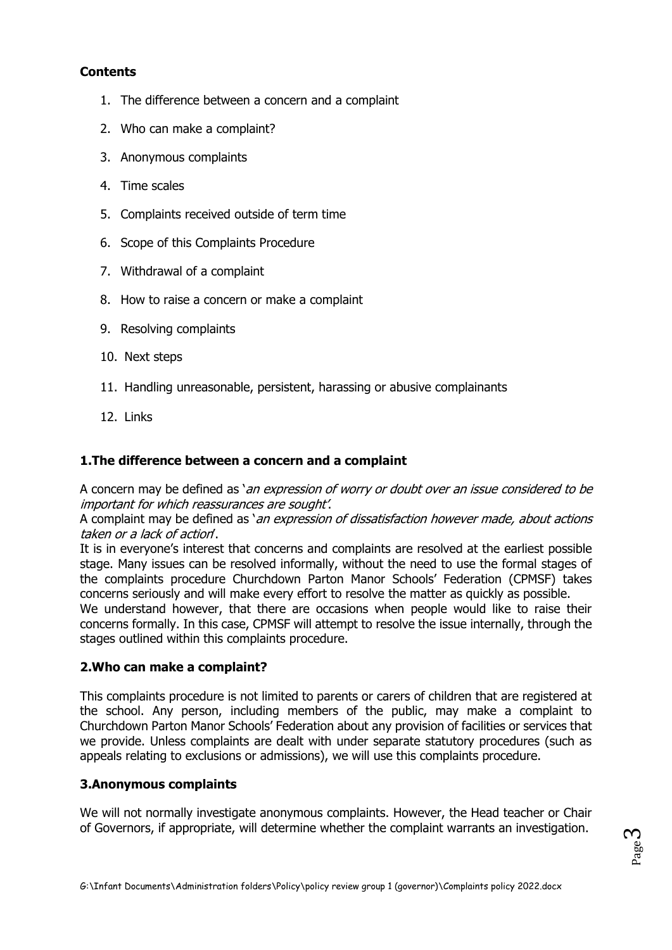#### **Contents**

- 1. The difference between a concern and a complaint
- 2. Who can make a complaint?
- 3. Anonymous complaints
- 4. Time scales
- 5. Complaints received outside of term time
- 6. Scope of this Complaints Procedure
- 7. Withdrawal of a complaint
- 8. How to raise a concern or make a complaint
- 9. Resolving complaints
- 10. Next steps
- 11. Handling unreasonable, persistent, harassing or abusive complainants
- 12. Links

#### **1.The difference between a concern and a complaint**

A concern may be defined as 'an expression of worry or doubt over an issue considered to be important for which reassurances are sought'.

A complaint may be defined as 'an expression of dissatisfaction however made, about actions taken or a lack of action'.

It is in everyone's interest that concerns and complaints are resolved at the earliest possible stage. Many issues can be resolved informally, without the need to use the formal stages of the complaints procedure Churchdown Parton Manor Schools' Federation (CPMSF) takes concerns seriously and will make every effort to resolve the matter as quickly as possible.

We understand however, that there are occasions when people would like to raise their concerns formally. In this case, CPMSF will attempt to resolve the issue internally, through the stages outlined within this complaints procedure.

#### **2.Who can make a complaint?**

This complaints procedure is not limited to parents or carers of children that are registered at the school. Any person, including members of the public, may make a complaint to Churchdown Parton Manor Schools' Federation about any provision of facilities or services that we provide. Unless complaints are dealt with under separate statutory procedures (such as appeals relating to exclusions or admissions), we will use this complaints procedure.

#### **3.Anonymous complaints**

We will not normally investigate anonymous complaints. However, the Head teacher or Chair of Governors, if appropriate, will determine whether the complaint warrants an investigation.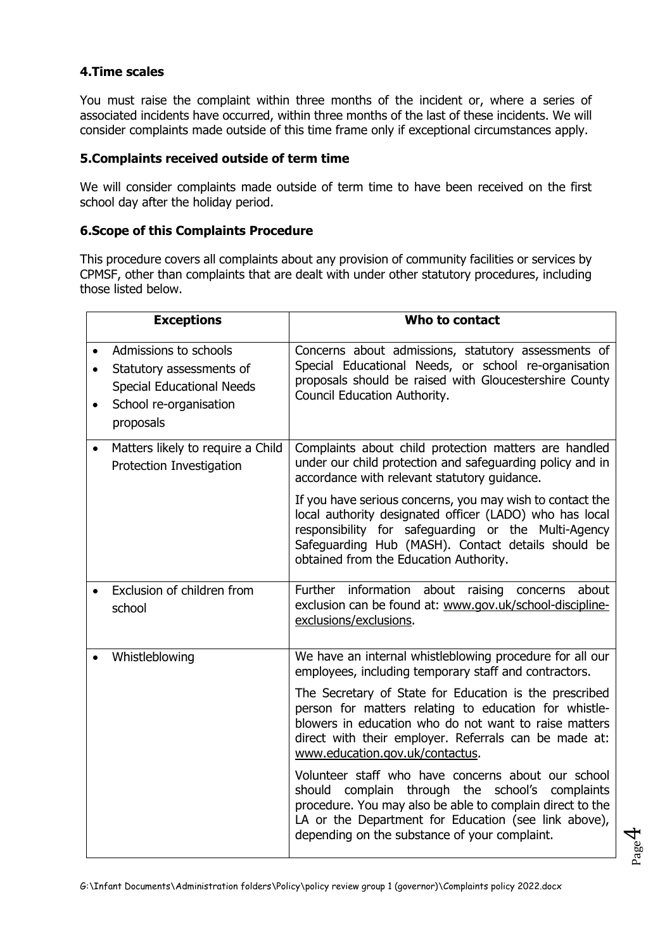## **4.Time scales**

You must raise the complaint within three months of the incident or, where a series of associated incidents have occurred, within three months of the last of these incidents. We will consider complaints made outside of this time frame only if exceptional circumstances apply.

#### **5.Complaints received outside of term time**

We will consider complaints made outside of term time to have been received on the first school day after the holiday period.

#### **6.Scope of this Complaints Procedure**

This procedure covers all complaints about any provision of community facilities or services by CPMSF, other than complaints that are dealt with under other statutory procedures, including those listed below.

| <b>Exceptions</b>                                                                                                                                      | Who to contact                                                                                                                                                                                                                                                              |
|--------------------------------------------------------------------------------------------------------------------------------------------------------|-----------------------------------------------------------------------------------------------------------------------------------------------------------------------------------------------------------------------------------------------------------------------------|
| Admissions to schools<br>$\bullet$<br>Statutory assessments of<br><b>Special Educational Needs</b><br>School re-organisation<br>$\bullet$<br>proposals | Concerns about admissions, statutory assessments of<br>Special Educational Needs, or school re-organisation<br>proposals should be raised with Gloucestershire County<br>Council Education Authority.                                                                       |
| Matters likely to require a Child<br>$\bullet$<br>Protection Investigation                                                                             | Complaints about child protection matters are handled<br>under our child protection and safeguarding policy and in<br>accordance with relevant statutory guidance.                                                                                                          |
|                                                                                                                                                        | If you have serious concerns, you may wish to contact the<br>local authority designated officer (LADO) who has local<br>responsibility for safeguarding or the Multi-Agency<br>Safeguarding Hub (MASH). Contact details should be<br>obtained from the Education Authority. |
| Exclusion of children from<br>school                                                                                                                   | information about<br>Further<br>concerns about<br>raising<br>exclusion can be found at: www.gov.uk/school-discipline-<br>exclusions/exclusions.                                                                                                                             |
| Whistleblowing                                                                                                                                         | We have an internal whistleblowing procedure for all our<br>employees, including temporary staff and contractors.                                                                                                                                                           |
|                                                                                                                                                        | The Secretary of State for Education is the prescribed<br>person for matters relating to education for whistle-<br>blowers in education who do not want to raise matters<br>direct with their employer. Referrals can be made at:<br>www.education.gov.uk/contactus.        |
|                                                                                                                                                        | Volunteer staff who have concerns about our school<br>should complain through the school's complaints<br>procedure. You may also be able to complain direct to the<br>LA or the Department for Education (see link above),<br>depending on the substance of your complaint. |

G:\Infant Documents\Administration folders\Policy\policy review group 1 (governor)\Complaints policy 2022.docx

Page 4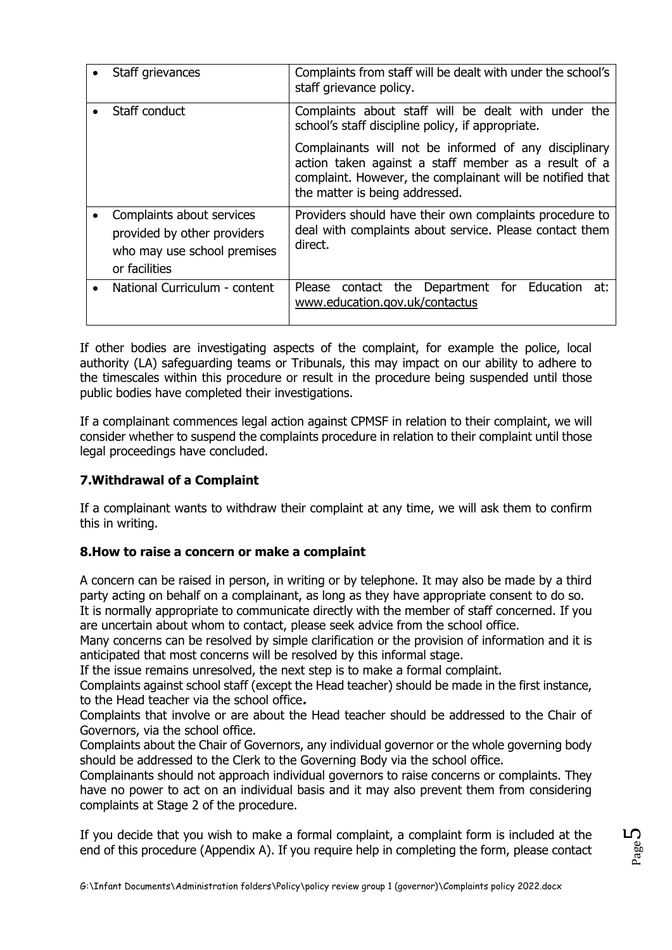| Staff grievances                                                                                         | Complaints from staff will be dealt with under the school's<br>staff grievance policy.                                                                                                                       |
|----------------------------------------------------------------------------------------------------------|--------------------------------------------------------------------------------------------------------------------------------------------------------------------------------------------------------------|
| Staff conduct                                                                                            | Complaints about staff will be dealt with under the<br>school's staff discipline policy, if appropriate.                                                                                                     |
|                                                                                                          | Complainants will not be informed of any disciplinary<br>action taken against a staff member as a result of a<br>complaint. However, the complainant will be notified that<br>the matter is being addressed. |
| Complaints about services<br>provided by other providers<br>who may use school premises<br>or facilities | Providers should have their own complaints procedure to<br>deal with complaints about service. Please contact them<br>direct.                                                                                |
| National Curriculum - content                                                                            | contact the Department for Education<br>Please<br>-at:<br>www.education.gov.uk/contactus                                                                                                                     |

If other bodies are investigating aspects of the complaint, for example the police, local authority (LA) safeguarding teams or Tribunals, this may impact on our ability to adhere to the timescales within this procedure or result in the procedure being suspended until those public bodies have completed their investigations.

If a complainant commences legal action against CPMSF in relation to their complaint, we will consider whether to suspend the complaints procedure in relation to their complaint until those legal proceedings have concluded.

## **7.Withdrawal of a Complaint**

If a complainant wants to withdraw their complaint at any time, we will ask them to confirm this in writing.

## **8.How to raise a concern or make a complaint**

A concern can be raised in person, in writing or by telephone. It may also be made by a third party acting on behalf on a complainant, as long as they have appropriate consent to do so.

It is normally appropriate to communicate directly with the member of staff concerned. If you are uncertain about whom to contact, please seek advice from the school office.

Many concerns can be resolved by simple clarification or the provision of information and it is anticipated that most concerns will be resolved by this informal stage.

If the issue remains unresolved, the next step is to make a formal complaint.

Complaints against school staff (except the Head teacher) should be made in the first instance, to the Head teacher via the school office**.**

Complaints that involve or are about the Head teacher should be addressed to the Chair of Governors, via the school office.

Complaints about the Chair of Governors, any individual governor or the whole governing body should be addressed to the Clerk to the Governing Body via the school office.

Complainants should not approach individual governors to raise concerns or complaints. They have no power to act on an individual basis and it may also prevent them from considering complaints at Stage 2 of the procedure.

If you decide that you wish to make a formal complaint, a complaint form is included at the end of this procedure (Appendix A). If you require help in completing the form, please contact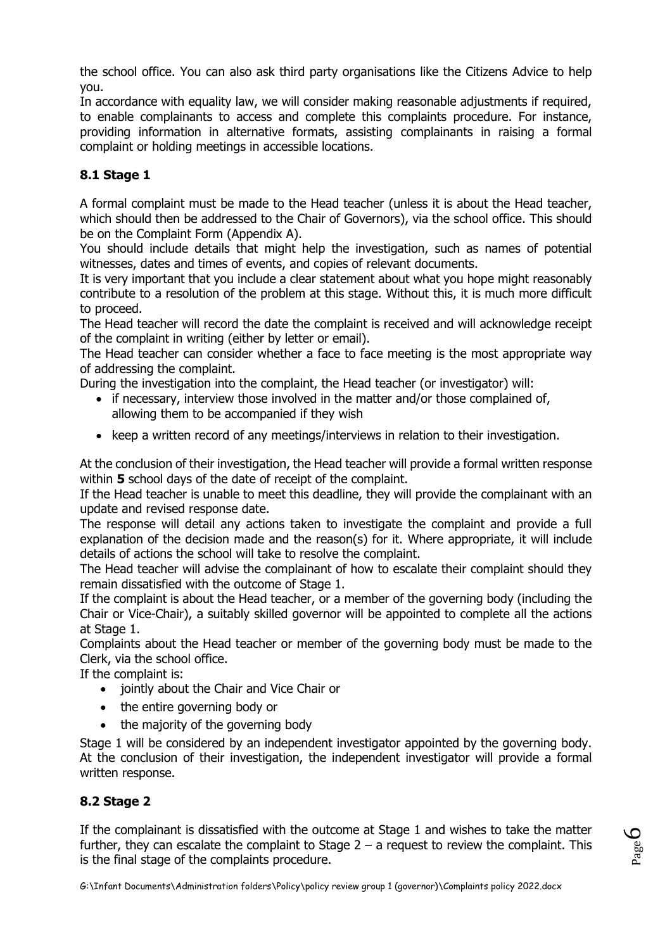the school office. You can also ask third party organisations like the Citizens Advice to help you.

In accordance with equality law, we will consider making reasonable adjustments if required, to enable complainants to access and complete this complaints procedure. For instance, providing information in alternative formats, assisting complainants in raising a formal complaint or holding meetings in accessible locations.

# **8.1 Stage 1**

A formal complaint must be made to the Head teacher (unless it is about the Head teacher, which should then be addressed to the Chair of Governors), via the school office. This should be on the Complaint Form (Appendix A).

You should include details that might help the investigation, such as names of potential witnesses, dates and times of events, and copies of relevant documents.

It is very important that you include a clear statement about what you hope might reasonably contribute to a resolution of the problem at this stage. Without this, it is much more difficult to proceed.

The Head teacher will record the date the complaint is received and will acknowledge receipt of the complaint in writing (either by letter or email).

The Head teacher can consider whether a face to face meeting is the most appropriate way of addressing the complaint.

During the investigation into the complaint, the Head teacher (or investigator) will:

- if necessary, interview those involved in the matter and/or those complained of, allowing them to be accompanied if they wish
- keep a written record of any meetings/interviews in relation to their investigation.

At the conclusion of their investigation, the Head teacher will provide a formal written response within **5** school days of the date of receipt of the complaint.

If the Head teacher is unable to meet this deadline, they will provide the complainant with an update and revised response date.

The response will detail any actions taken to investigate the complaint and provide a full explanation of the decision made and the reason(s) for it. Where appropriate, it will include details of actions the school will take to resolve the complaint.

The Head teacher will advise the complainant of how to escalate their complaint should they remain dissatisfied with the outcome of Stage 1.

If the complaint is about the Head teacher, or a member of the governing body (including the Chair or Vice-Chair), a suitably skilled governor will be appointed to complete all the actions at Stage 1.

Complaints about the Head teacher or member of the governing body must be made to the Clerk, via the school office.

If the complaint is:

- jointly about the Chair and Vice Chair or
- the entire governing body or
- the majority of the governing body

Stage 1 will be considered by an independent investigator appointed by the governing body. At the conclusion of their investigation, the independent investigator will provide a formal written response.

## **8.2 Stage 2**

If the complainant is dissatisfied with the outcome at Stage 1 and wishes to take the matter further, they can escalate the complaint to Stage  $2 - a$  request to review the complaint. This is the final stage of the complaints procedure.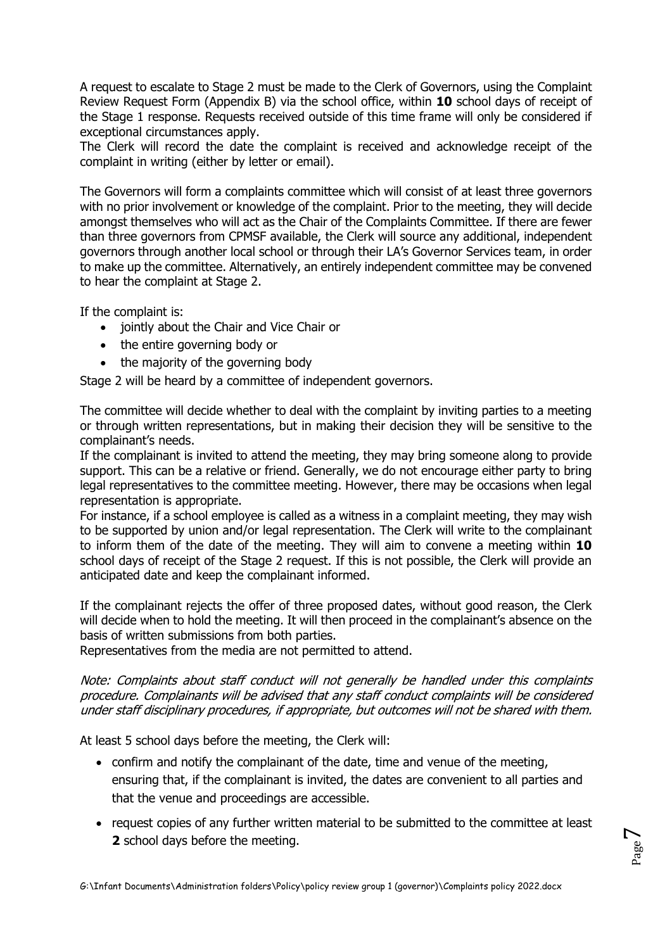A request to escalate to Stage 2 must be made to the Clerk of Governors, using the Complaint Review Request Form (Appendix B) via the school office, within **10** school days of receipt of the Stage 1 response. Requests received outside of this time frame will only be considered if exceptional circumstances apply.

The Clerk will record the date the complaint is received and acknowledge receipt of the complaint in writing (either by letter or email).

The Governors will form a complaints committee which will consist of at least three governors with no prior involvement or knowledge of the complaint. Prior to the meeting, they will decide amongst themselves who will act as the Chair of the Complaints Committee. If there are fewer than three governors from CPMSF available, the Clerk will source any additional, independent governors through another local school or through their LA's Governor Services team, in order to make up the committee. Alternatively, an entirely independent committee may be convened to hear the complaint at Stage 2.

If the complaint is:

- jointly about the Chair and Vice Chair or
- the entire governing body or
- the majority of the governing body

Stage 2 will be heard by a committee of independent governors.

The committee will decide whether to deal with the complaint by inviting parties to a meeting or through written representations, but in making their decision they will be sensitive to the complainant's needs.

If the complainant is invited to attend the meeting, they may bring someone along to provide support. This can be a relative or friend. Generally, we do not encourage either party to bring legal representatives to the committee meeting. However, there may be occasions when legal representation is appropriate.

For instance, if a school employee is called as a witness in a complaint meeting, they may wish to be supported by union and/or legal representation. The Clerk will write to the complainant to inform them of the date of the meeting. They will aim to convene a meeting within **10** school days of receipt of the Stage 2 request. If this is not possible, the Clerk will provide an anticipated date and keep the complainant informed.

If the complainant rejects the offer of three proposed dates, without good reason, the Clerk will decide when to hold the meeting. It will then proceed in the complainant's absence on the basis of written submissions from both parties.

Representatives from the media are not permitted to attend.

#### Note: Complaints about staff conduct will not generally be handled under this complaints procedure. Complainants will be advised that any staff conduct complaints will be considered under staff disciplinary procedures, if appropriate, but outcomes will not be shared with them.

At least 5 school days before the meeting, the Clerk will:

- confirm and notify the complainant of the date, time and venue of the meeting, ensuring that, if the complainant is invited, the dates are convenient to all parties and that the venue and proceedings are accessible.
- request copies of any further written material to be submitted to the committee at least **2** school days before the meeting.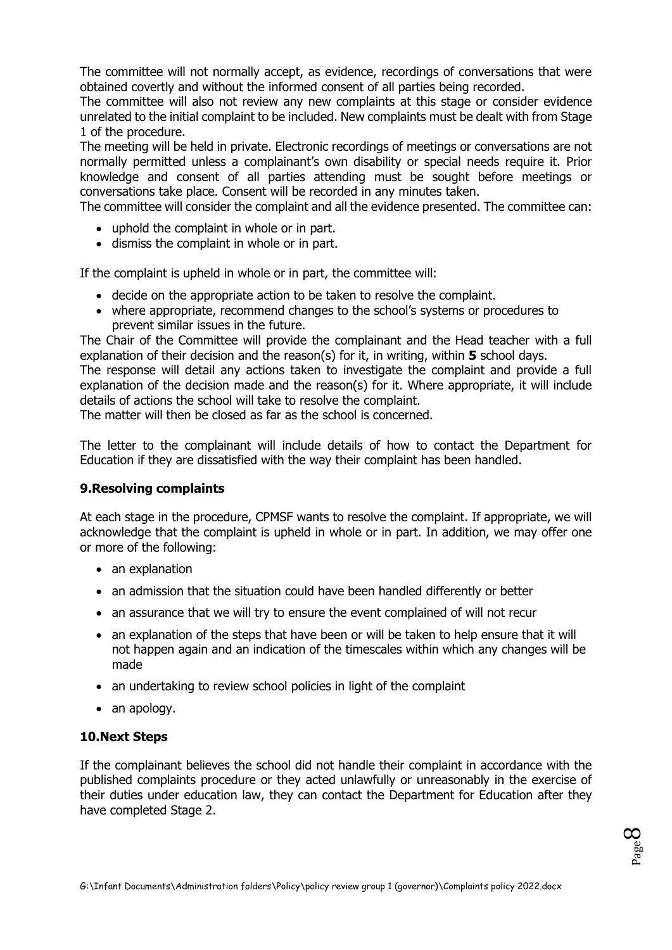The committee will not normally accept, as evidence, recordings of conversations that were obtained covertly and without the informed consent of all parties being recorded.

The committee will also not review any new complaints at this stage or consider evidence unrelated to the initial complaint to be included. New complaints must be dealt with from Stage 1 of the procedure.

The meeting will be held in private. Electronic recordings of meetings or conversations are not normally permitted unless a complainant's own disability or special needs require it. Prior knowledge and consent of all parties attending must be sought before meetings or conversations take place. Consent will be recorded in any minutes taken.

The committee will consider the complaint and all the evidence presented. The committee can:

- uphold the complaint in whole or in part.
- dismiss the complaint in whole or in part.

If the complaint is upheld in whole or in part, the committee will:

- decide on the appropriate action to be taken to resolve the complaint.
- where appropriate, recommend changes to the school's systems or procedures to prevent similar issues in the future.

The Chair of the Committee will provide the complainant and the Head teacher with a full explanation of their decision and the reason(s) for it, in writing, within **5** school days.

The response will detail any actions taken to investigate the complaint and provide a full explanation of the decision made and the reason(s) for it. Where appropriate, it will include details of actions the school will take to resolve the complaint.

The matter will then be closed as far as the school is concerned.

The letter to the complainant will include details of how to contact the Department for Education if they are dissatisfied with the way their complaint has been handled.

## **9.Resolving complaints**

At each stage in the procedure, CPMSF wants to resolve the complaint. If appropriate, we will acknowledge that the complaint is upheld in whole or in part. In addition, we may offer one or more of the following:

- an explanation
- an admission that the situation could have been handled differently or better
- an assurance that we will try to ensure the event complained of will not recur
- an explanation of the steps that have been or will be taken to help ensure that it will not happen again and an indication of the timescales within which any changes will be made
- an undertaking to review school policies in light of the complaint
- an apology.

## **10.Next Steps**

If the complainant believes the school did not handle their complaint in accordance with the published complaints procedure or they acted unlawfully or unreasonably in the exercise of their duties under education law, they can contact the Department for Education after they have completed Stage 2.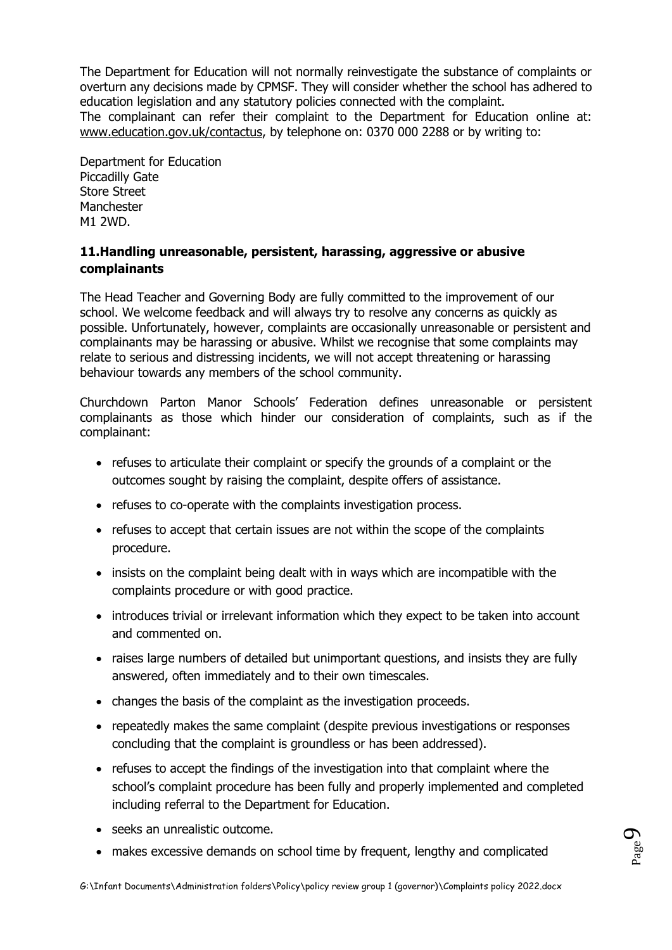The Department for Education will not normally reinvestigate the substance of complaints or overturn any decisions made by CPMSF. They will consider whether the school has adhered to education legislation and any statutory policies connected with the complaint. The complainant can refer their complaint to the Department for Education online at: [www.education.gov.uk/contactus,](http://www.education.gov.uk/contactus) by telephone on: 0370 000 2288 or by writing to:

Department for Education Piccadilly Gate Store Street **Manchester** M1 2WD.

## **11.Handling unreasonable, persistent, harassing, aggressive or abusive complainants**

The Head Teacher and Governing Body are fully committed to the improvement of our school. We welcome feedback and will always try to resolve any concerns as quickly as possible. Unfortunately, however, complaints are occasionally unreasonable or persistent and complainants may be harassing or abusive. Whilst we recognise that some complaints may relate to serious and distressing incidents, we will not accept threatening or harassing behaviour towards any members of the school community.

Churchdown Parton Manor Schools' Federation defines unreasonable or persistent complainants as those which hinder our consideration of complaints, such as if the complainant:

- refuses to articulate their complaint or specify the grounds of a complaint or the outcomes sought by raising the complaint, despite offers of assistance.
- refuses to co-operate with the complaints investigation process.
- refuses to accept that certain issues are not within the scope of the complaints procedure.
- insists on the complaint being dealt with in ways which are incompatible with the complaints procedure or with good practice.
- introduces trivial or irrelevant information which they expect to be taken into account and commented on.
- raises large numbers of detailed but unimportant questions, and insists they are fully answered, often immediately and to their own timescales.
- changes the basis of the complaint as the investigation proceeds.
- repeatedly makes the same complaint (despite previous investigations or responses concluding that the complaint is groundless or has been addressed).
- refuses to accept the findings of the investigation into that complaint where the school's complaint procedure has been fully and properly implemented and completed including referral to the Department for Education.
- seeks an unrealistic outcome.
- makes excessive demands on school time by frequent, lengthy and complicated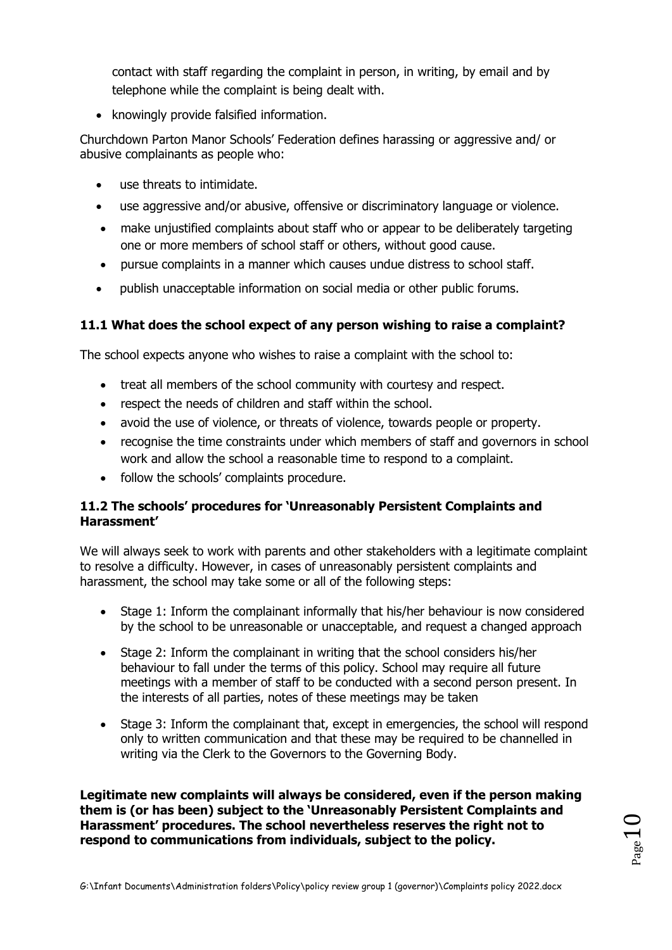contact with staff regarding the complaint in person, in writing, by email and by telephone while the complaint is being dealt with.

• knowingly provide falsified information.

Churchdown Parton Manor Schools' Federation defines harassing or aggressive and/ or abusive complainants as people who:

- use threats to intimidate.
- use aggressive and/or abusive, offensive or discriminatory language or violence.
- make unjustified complaints about staff who or appear to be deliberately targeting one or more members of school staff or others, without good cause.
- pursue complaints in a manner which causes undue distress to school staff.
- publish unacceptable information on social media or other public forums.

## **11.1 What does the school expect of any person wishing to raise a complaint?**

The school expects anyone who wishes to raise a complaint with the school to:

- treat all members of the school community with courtesy and respect.
- respect the needs of children and staff within the school.
- avoid the use of violence, or threats of violence, towards people or property.
- recognise the time constraints under which members of staff and governors in school work and allow the school a reasonable time to respond to a complaint.
- follow the schools' complaints procedure.

## **11.2 The schools' procedures for 'Unreasonably Persistent Complaints and Harassment'**

We will always seek to work with parents and other stakeholders with a legitimate complaint to resolve a difficulty. However, in cases of unreasonably persistent complaints and harassment, the school may take some or all of the following steps:

- Stage 1: Inform the complainant informally that his/her behaviour is now considered by the school to be unreasonable or unacceptable, and request a changed approach
- Stage 2: Inform the complainant in writing that the school considers his/her behaviour to fall under the terms of this policy. School may require all future meetings with a member of staff to be conducted with a second person present. In the interests of all parties, notes of these meetings may be taken
- Stage 3: Inform the complainant that, except in emergencies, the school will respond only to written communication and that these may be required to be channelled in writing via the Clerk to the Governors to the Governing Body.

**Legitimate new complaints will always be considered, even if the person making them is (or has been) subject to the 'Unreasonably Persistent Complaints and Harassment' procedures. The school nevertheless reserves the right not to respond to communications from individuals, subject to the policy.**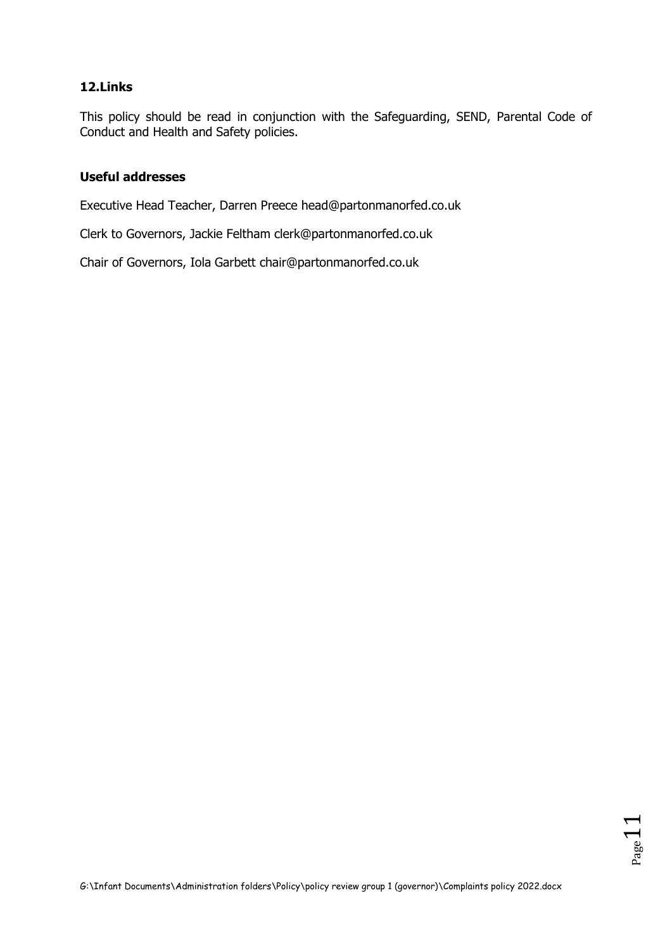### **12.Links**

This policy should be read in conjunction with the Safeguarding, SEND, Parental Code of Conduct and Health and Safety policies.

#### **Useful addresses**

Executive Head Teacher, Darren Preece head@partonmanorfed.co.uk

Clerk to Governors, Jackie Feltham clerk@partonmanorfed.co.uk

Chair of Governors, Iola Garbett chair@partonmanorfed.co.uk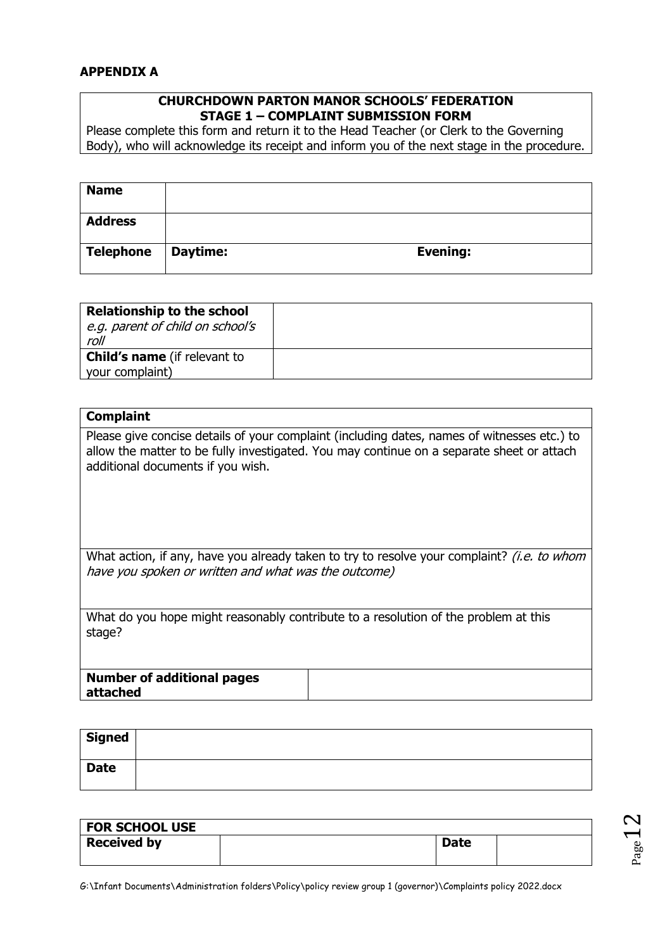#### **CHURCHDOWN PARTON MANOR SCHOOLS' FEDERATION STAGE 1 – COMPLAINT SUBMISSION FORM**

Please complete this form and return it to the Head Teacher (or Clerk to the Governing Body), who will acknowledge its receipt and inform you of the next stage in the procedure.

| <b>Name</b>      |          |  |                 |  |
|------------------|----------|--|-----------------|--|
| <b>Address</b>   |          |  |                 |  |
| <b>Telephone</b> | Daytime: |  | <b>Evening:</b> |  |

| <b>Relationship to the school</b><br>e.g. parent of child on school's<br>roll |  |
|-------------------------------------------------------------------------------|--|
| <b>Child's name</b> (if relevant to                                           |  |
| your complaint)                                                               |  |

#### **Complaint**

Please give concise details of your complaint (including dates, names of witnesses etc.) to allow the matter to be fully investigated. You may continue on a separate sheet or attach additional documents if you wish.

What action, if any, have you already taken to try to resolve your complaint? *(i.e. to whom* have you spoken or written and what was the outcome)

What do you hope might reasonably contribute to a resolution of the problem at this stage?

**Number of additional pages attached**

| <b>Signed</b> |  |
|---------------|--|
| <b>Date</b>   |  |

| <b>FOR SCHOOL USE</b> |             |  |
|-----------------------|-------------|--|
| <b>Received by</b>    | <b>Date</b> |  |
|                       |             |  |

G:\Infant Documents\Administration folders\Policy\policy review group 1 (governor)\Complaints policy 2022.docx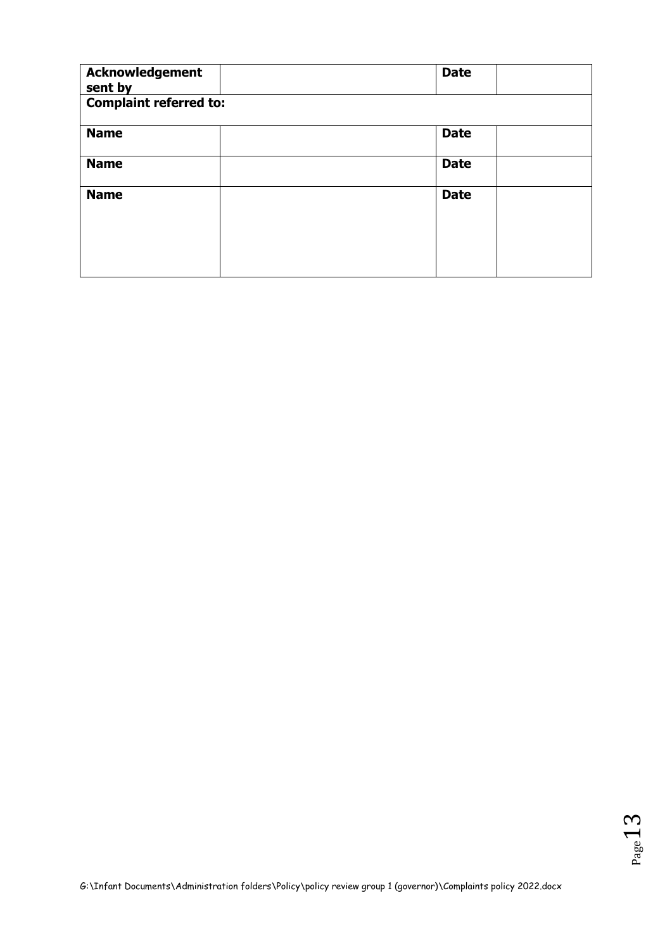| <b>Acknowledgement</b><br>sent by | <b>Date</b> |
|-----------------------------------|-------------|
| <b>Complaint referred to:</b>     |             |
| <b>Name</b>                       | <b>Date</b> |
| <b>Name</b>                       | <b>Date</b> |
| <b>Name</b>                       | <b>Date</b> |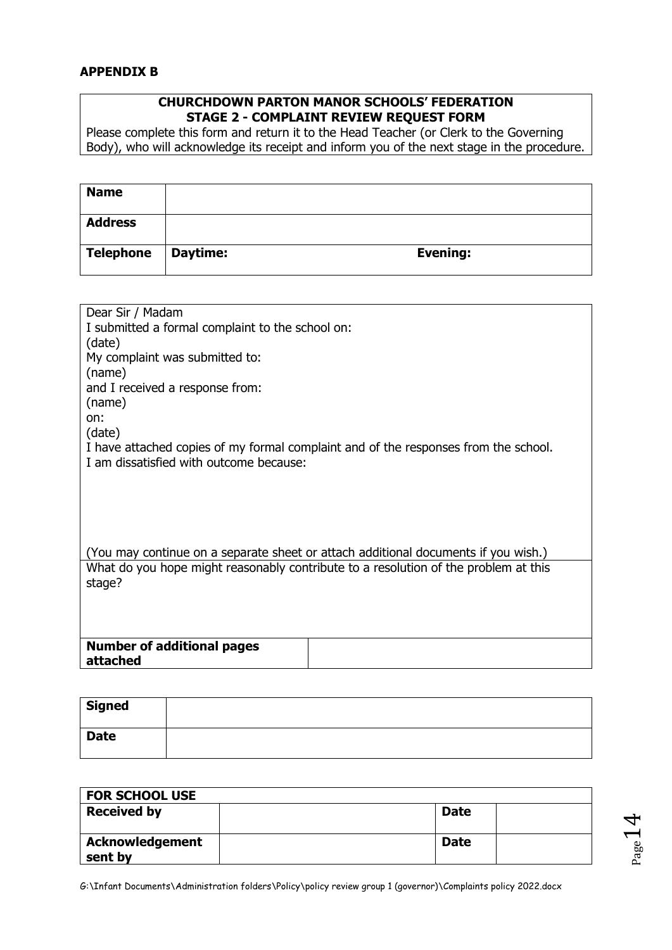#### **APPENDIX B**

#### **CHURCHDOWN PARTON MANOR SCHOOLS' FEDERATION STAGE 2 - COMPLAINT REVIEW REQUEST FORM**

Please complete this form and return it to the Head Teacher (or Clerk to the Governing Body), who will acknowledge its receipt and inform you of the next stage in the procedure.

| <b>Name</b>      |          |                 |  |
|------------------|----------|-----------------|--|
| <b>Address</b>   |          |                 |  |
| <b>Telephone</b> | Daytime: | <b>Evening:</b> |  |

| Dear Sir / Madam                                                                                                               |
|--------------------------------------------------------------------------------------------------------------------------------|
| I submitted a formal complaint to the school on:                                                                               |
| (date)                                                                                                                         |
| My complaint was submitted to:                                                                                                 |
| (name)                                                                                                                         |
| and I received a response from:                                                                                                |
| (name)                                                                                                                         |
| on:                                                                                                                            |
| (date)                                                                                                                         |
| I have attached copies of my formal complaint and of the responses from the school.<br>I am dissatisfied with outcome because: |
|                                                                                                                                |
|                                                                                                                                |
|                                                                                                                                |
|                                                                                                                                |
|                                                                                                                                |
| (You may continue on a separate sheet or attach additional documents if you wish.)                                             |
| What do you hope might reasonably contribute to a resolution of the problem at this                                            |
| stage?                                                                                                                         |
|                                                                                                                                |
|                                                                                                                                |
|                                                                                                                                |
| <b>Number of additional pages</b>                                                                                              |
| attached                                                                                                                       |

| Signed      |  |
|-------------|--|
| <b>Date</b> |  |

| <b>FOR SCHOOL USE</b>             |             |  |
|-----------------------------------|-------------|--|
| <b>Received by</b>                | <b>Date</b> |  |
| <b>Acknowledgement</b><br>sent by | <b>Date</b> |  |

 $_{\rm Page}$   $14$ 

G:\Infant Documents\Administration folders\Policy\policy review group 1 (governor)\Complaints policy 2022.docx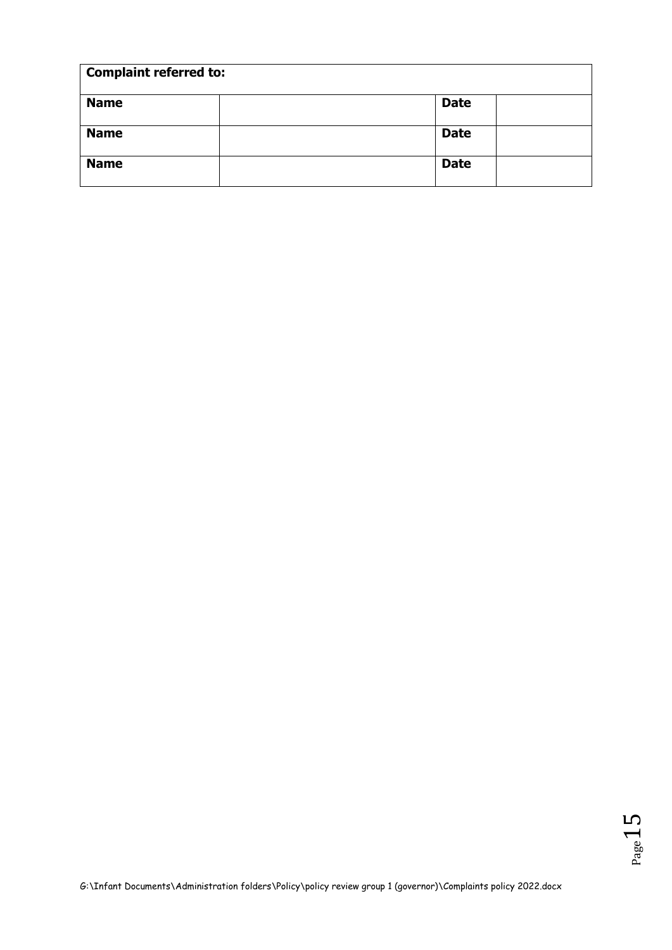| <b>Complaint referred to:</b> |             |  |  |  |
|-------------------------------|-------------|--|--|--|
| <b>Name</b>                   | <b>Date</b> |  |  |  |
| <b>Name</b>                   | <b>Date</b> |  |  |  |
| <b>Name</b>                   | <b>Date</b> |  |  |  |